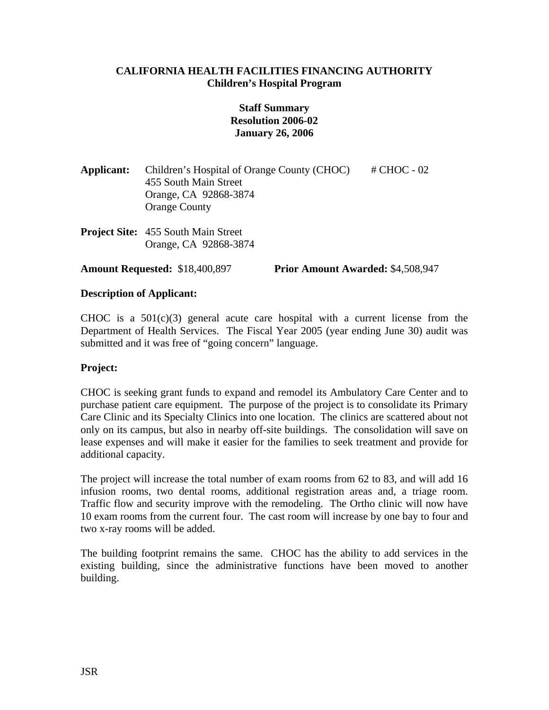### **CALIFORNIA HEALTH FACILITIES FINANCING AUTHORITY Children's Hospital Program**

# **Staff Summary Resolution 2006-02 January 26, 2006**

| Applicant: | Children's Hospital of Orange County (CHOC) | # CHOC - 02 |
|------------|---------------------------------------------|-------------|
|            | 455 South Main Street                       |             |
|            | Orange, CA 92868-3874                       |             |
|            | <b>Orange County</b>                        |             |

**Project Site:** 455 South Main Street Orange, CA 92868-3874

**Amount Requested:** \$18,400,897 **Prior Amount Awarded:** \$4,508,947

### **Description of Applicant:**

CHOC is a  $501(c)(3)$  general acute care hospital with a current license from the Department of Health Services. The Fiscal Year 2005 (year ending June 30) audit was submitted and it was free of "going concern" language.

### **Project:**

CHOC is seeking grant funds to expand and remodel its Ambulatory Care Center and to purchase patient care equipment. The purpose of the project is to consolidate its Primary Care Clinic and its Specialty Clinics into one location. The clinics are scattered about not only on its campus, but also in nearby off-site buildings. The consolidation will save on lease expenses and will make it easier for the families to seek treatment and provide for additional capacity.

The project will increase the total number of exam rooms from 62 to 83, and will add 16 infusion rooms, two dental rooms, additional registration areas and, a triage room. Traffic flow and security improve with the remodeling. The Ortho clinic will now have 10 exam rooms from the current four. The cast room will increase by one bay to four and two x-ray rooms will be added.

The building footprint remains the same. CHOC has the ability to add services in the existing building, since the administrative functions have been moved to another building.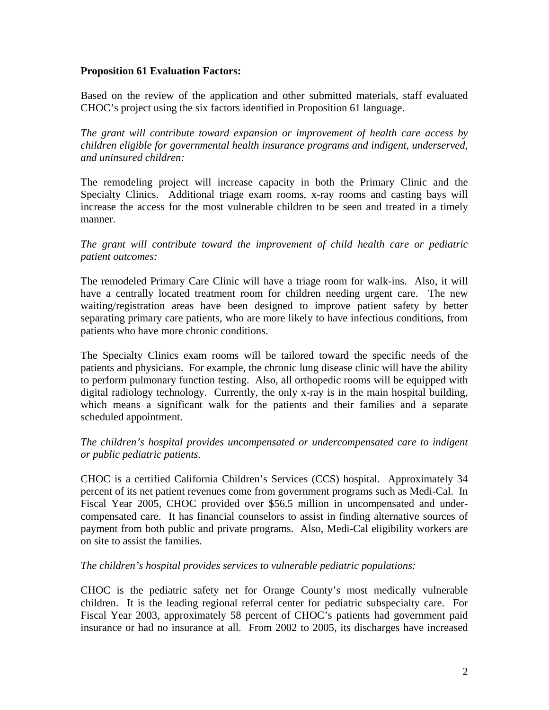### **Proposition 61 Evaluation Factors:**

Based on the review of the application and other submitted materials, staff evaluated CHOC's project using the six factors identified in Proposition 61 language.

*The grant will contribute toward expansion or improvement of health care access by children eligible for governmental health insurance programs and indigent, underserved, and uninsured children:* 

The remodeling project will increase capacity in both the Primary Clinic and the Specialty Clinics. Additional triage exam rooms, x-ray rooms and casting bays will increase the access for the most vulnerable children to be seen and treated in a timely manner.

*The grant will contribute toward the improvement of child health care or pediatric patient outcomes:* 

The remodeled Primary Care Clinic will have a triage room for walk-ins. Also, it will have a centrally located treatment room for children needing urgent care. The new waiting/registration areas have been designed to improve patient safety by better separating primary care patients, who are more likely to have infectious conditions, from patients who have more chronic conditions.

The Specialty Clinics exam rooms will be tailored toward the specific needs of the patients and physicians. For example, the chronic lung disease clinic will have the ability to perform pulmonary function testing. Also, all orthopedic rooms will be equipped with digital radiology technology. Currently, the only x-ray is in the main hospital building, which means a significant walk for the patients and their families and a separate scheduled appointment.

# *The children's hospital provides uncompensated or undercompensated care to indigent or public pediatric patients.*

CHOC is a certified California Children's Services (CCS) hospital. Approximately 34 percent of its net patient revenues come from government programs such as Medi-Cal. In Fiscal Year 2005, CHOC provided over \$56.5 million in uncompensated and undercompensated care. It has financial counselors to assist in finding alternative sources of payment from both public and private programs. Also, Medi-Cal eligibility workers are on site to assist the families.

### *The children's hospital provides services to vulnerable pediatric populations:*

CHOC is the pediatric safety net for Orange County's most medically vulnerable children. It is the leading regional referral center for pediatric subspecialty care. For Fiscal Year 2003, approximately 58 percent of CHOC's patients had government paid insurance or had no insurance at all. From 2002 to 2005, its discharges have increased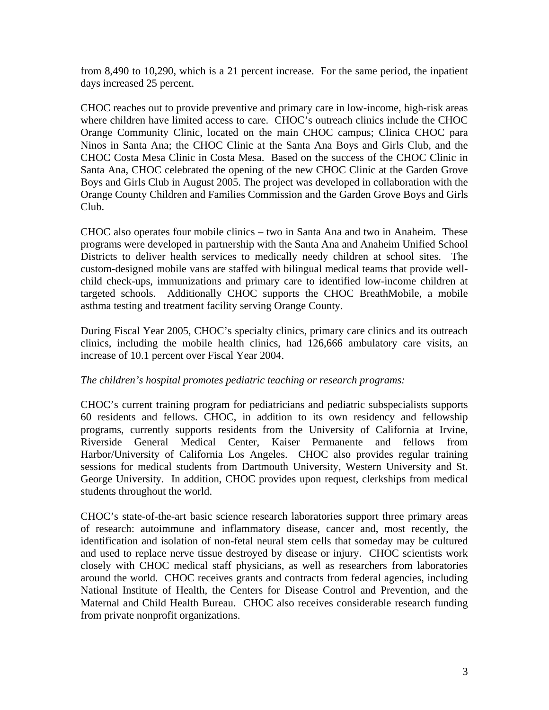from 8,490 to 10,290, which is a 21 percent increase. For the same period, the inpatient days increased 25 percent.

CHOC reaches out to provide preventive and primary care in low-income, high-risk areas where children have limited access to care. CHOC's outreach clinics include the CHOC Orange Community Clinic, located on the main CHOC campus; Clinica CHOC para Ninos in Santa Ana; the CHOC Clinic at the Santa Ana Boys and Girls Club, and the CHOC Costa Mesa Clinic in Costa Mesa. Based on the success of the CHOC Clinic in Santa Ana, CHOC celebrated the opening of the new CHOC Clinic at the Garden Grove Boys and Girls Club in August 2005. The project was developed in collaboration with the Orange County Children and Families Commission and the Garden Grove Boys and Girls Club.

CHOC also operates four mobile clinics – two in Santa Ana and two in Anaheim. These programs were developed in partnership with the Santa Ana and Anaheim Unified School Districts to deliver health services to medically needy children at school sites. The custom-designed mobile vans are staffed with bilingual medical teams that provide wellchild check-ups, immunizations and primary care to identified low-income children at targeted schools. Additionally CHOC supports the CHOC BreathMobile, a mobile asthma testing and treatment facility serving Orange County.

During Fiscal Year 2005, CHOC's specialty clinics, primary care clinics and its outreach clinics, including the mobile health clinics, had 126,666 ambulatory care visits, an increase of 10.1 percent over Fiscal Year 2004.

### *The children's hospital promotes pediatric teaching or research programs:*

CHOC's current training program for pediatricians and pediatric subspecialists supports 60 residents and fellows. CHOC, in addition to its own residency and fellowship programs, currently supports residents from the University of California at Irvine, Riverside General Medical Center, Kaiser Permanente and fellows from Harbor/University of California Los Angeles. CHOC also provides regular training sessions for medical students from Dartmouth University, Western University and St. George University. In addition, CHOC provides upon request, clerkships from medical students throughout the world.

CHOC's state-of-the-art basic science research laboratories support three primary areas of research: autoimmune and inflammatory disease, cancer and, most recently, the identification and isolation of non-fetal neural stem cells that someday may be cultured and used to replace nerve tissue destroyed by disease or injury. CHOC scientists work closely with CHOC medical staff physicians, as well as researchers from laboratories around the world. CHOC receives grants and contracts from federal agencies, including National Institute of Health, the Centers for Disease Control and Prevention, and the Maternal and Child Health Bureau. CHOC also receives considerable research funding from private nonprofit organizations.